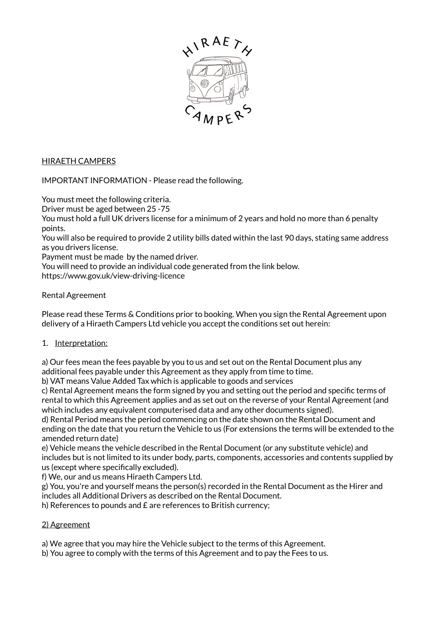

## HIRAETH CAMPERS

IMPORTANT INFORMATION - Please read the following.

You must meet the following criteria.

Driver must be aged between 25 -75

You must hold a full UK drivers license for a minimum of 2 years and hold no more than 6 penalty points.

You will also be required to provide 2 utility bills dated within the last 90 days, stating same address as you drivers license.

Payment must be made by the named driver.

You will need to provide an individual code generated from the link below. https://www.gov.uk/view-driving-licence

## Rental Agreement

Please read these Terms & Conditions prior to booking. When you sign the Rental Agreement upon delivery of a Hiraeth Campers Ltd vehicle you accept the conditions set out herein:

#### 1. Interpretation:

a) Our fees mean the fees payable by you to us and set out on the Rental Document plus any additional fees payable under this Agreement as they apply from time to time.

b) VAT means Value Added Tax which is applicable to goods and services

c) Rental Agreement means the form signed by you and setting out the period and specific terms of rental to which this Agreement applies and as set out on the reverse of your Rental Agreement (and which includes any equivalent computerised data and any other documents signed).

d) Rental Period means the period commencing on the date shown on the Rental Document and ending on the date that you return the Vehicle to us (For extensions the terms will be extended to the amended return date)

e) Vehicle means the vehicle described in the Rental Document (or any substitute vehicle) and includes but is not limited to its under body, parts, components, accessories and contents supplied by us (except where specifically excluded).

f) We, our and us means Hiraeth Campers Ltd.

g) You, you're and yourself means the person(s) recorded in the Rental Document as the Hirer and includes all Additional Drivers as described on the Rental Document.

h) References to pounds and £ are references to British currency;

## 2) Agreement

- a) We agree that you may hire the Vehicle subject to the terms of this Agreement.
- b) You agree to comply with the terms of this Agreement and to pay the Fees to us.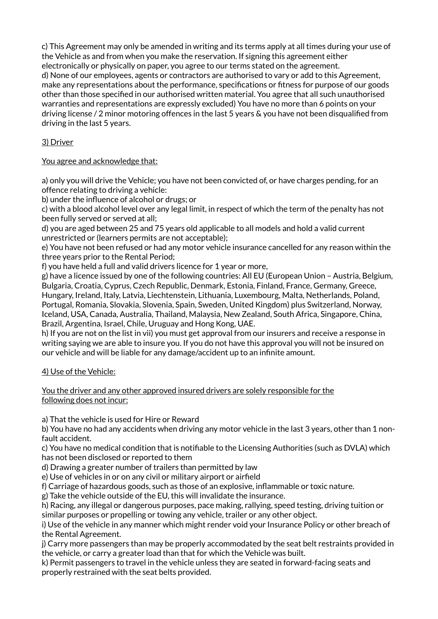c) This Agreement may only be amended in writing and its terms apply at all times during your use of the Vehicle as and from when you make the reservation. If signing this agreement either electronically or physically on paper, you agree to our terms stated on the agreement. d) None of our employees, agents or contractors are authorised to vary or add to this Agreement, make any representations about the performance, specifications or fitness for purpose of our goods other than those specified in our authorised written material. You agree that all such unauthorised warranties and representations are expressly excluded) You have no more than 6 points on your driving license / 2 minor motoring offences in the last 5 years & you have not been disqualified from driving in the last 5 years.

# 3) Driver

## You agree and acknowledge that:

a) only you will drive the Vehicle; you have not been convicted of, or have charges pending, for an offence relating to driving a vehicle:

b) under the influence of alcohol or drugs; or

c) with a blood alcohol level over any legal limit, in respect of which the term of the penalty has not been fully served or served at all;

d) you are aged between 25 and 75 years old applicable to all models and hold a valid current unrestricted or (learners permits are not acceptable);

e) You have not been refused or had any motor vehicle insurance cancelled for any reason within the three years prior to the Rental Period;

f) you have held a full and valid drivers licence for 1 year or more,

g) have a licence issued by one of the following countries: All EU (European Union – Austria, Belgium, Bulgaria, Croatia, Cyprus, Czech Republic, Denmark, Estonia, Finland, France, Germany, Greece, Hungary, Ireland, Italy, Latvia, Liechtenstein, Lithuania, Luxembourg, Malta, Netherlands, Poland, Portugal, Romania, Slovakia, Slovenia, Spain, Sweden, United Kingdom) plus Switzerland, Norway, Iceland, USA, Canada, Australia, Thailand, Malaysia, New Zealand, South Africa, Singapore, China, Brazil, Argentina, Israel, Chile, Uruguay and Hong Kong, UAE.

h) If you are not on the list in vii) you must get approval from our insurers and receive a response in writing saying we are able to insure you. If you do not have this approval you will not be insured on our vehicle and will be liable for any damage/accident up to an infinite amount.

## 4) Use of the Vehicle:

#### You the driver and any other approved insured drivers are solely responsible for the following does not incur:

a) That the vehicle is used for Hire or Reward

b) You have no had any accidents when driving any motor vehicle in the last 3 years, other than 1 nonfault accident.

c) You have no medical condition that is notifiable to the Licensing Authorities (such as DVLA) which has not been disclosed or reported to them

d) Drawing a greater number of trailers than permitted by law

e) Use of vehicles in or on any civil or military airport or airfield

f) Carriage of hazardous goods, such as those of an explosive, inflammable or toxic nature.

g) Take the vehicle outside of the EU, this will invalidate the insurance.

h) Racing, any illegal or dangerous purposes, pace making, rallying, speed testing, driving tuition or similar purposes or propelling or towing any vehicle, trailer or any other object.

i) Use of the vehicle in any manner which might render void your Insurance Policy or other breach of the Rental Agreement.

j) Carry more passengers than may be properly accommodated by the seat belt restraints provided in the vehicle, or carry a greater load than that for which the Vehicle was built.

k) Permit passengers to travel in the vehicle unless they are seated in forward-facing seats and properly restrained with the seat belts provided.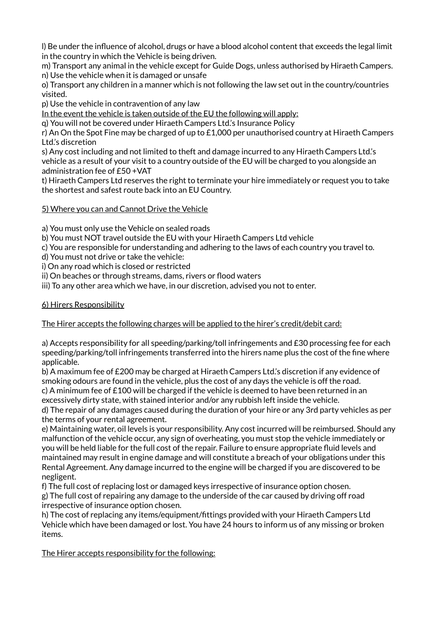l) Be under the influence of alcohol, drugs or have a blood alcohol content that exceeds the legal limit in the country in which the Vehicle is being driven.

m) Transport any animal in the vehicle except for Guide Dogs, unless authorised by Hiraeth Campers. n) Use the vehicle when it is damaged or unsafe

o) Transport any children in a manner which is not following the law set out in the country/countries visited.

p) Use the vehicle in contravention of any law

In the event the vehicle is taken outside of the EU the following will apply:

q) You will not be covered under Hiraeth Campers Ltd.'s Insurance Policy

r) An On the Spot Fine may be charged of up to  $£1,000$  per unauthorised country at Hiraeth Campers Ltd.'s discretion

s) Any cost including and not limited to theft and damage incurred to any Hiraeth Campers Ltd.'s vehicle as a result of your visit to a country outside of the EU will be charged to you alongside an administration fee of £50 +VAT

t) Hiraeth Campers Ltd reserves the right to terminate your hire immediately or request you to take the shortest and safest route back into an EU Country.

#### 5) Where you can and Cannot Drive the Vehicle

a) You must only use the Vehicle on sealed roads

b) You must NOT travel outside the EU with your Hiraeth Campers Ltd vehicle

c) You are responsible for understanding and adhering to the laws of each country you travel to.

d) You must not drive or take the vehicle:

i) On any road which is closed or restricted

ii) On beaches or through streams, dams, rivers or flood waters

iii) To any other area which we have, in our discretion, advised you not to enter.

#### 6) Hirers Responsibility

## The Hirer accepts the following charges will be applied to the hirer's credit/debit card:

a) Accepts responsibility for all speeding/parking/toll infringements and £30 processing fee for each speeding/parking/toll infringements transferred into the hirers name plus the cost of the fine where applicable.

b) A maximum fee of £200 may be charged at Hiraeth Campers Ltd.'s discretion if any evidence of smoking odours are found in the vehicle, plus the cost of any days the vehicle is off the road. c) A minimum fee of £100 will be charged if the vehicle is deemed to have been returned in an

excessively dirty state, with stained interior and/or any rubbish left inside the vehicle.

d) The repair of any damages caused during the duration of your hire or any 3rd party vehicles as per the terms of your rental agreement.

e) Maintaining water, oil levels is your responsibility. Any cost incurred will be reimbursed. Should any malfunction of the vehicle occur, any sign of overheating, you must stop the vehicle immediately or you will be held liable for the full cost of the repair. Failure to ensure appropriate fluid levels and maintained may result in engine damage and will constitute a breach of your obligations under this Rental Agreement. Any damage incurred to the engine will be charged if you are discovered to be negligent.

f) The full cost of replacing lost or damaged keys irrespective of insurance option chosen. g) The full cost of repairing any damage to the underside of the car caused by driving off road irrespective of insurance option chosen.

h) The cost of replacing any items/equipment/fittings provided with your Hiraeth Campers Ltd Vehicle which have been damaged or lost. You have 24 hours to inform us of any missing or broken items.

The Hirer accepts responsibility for the following: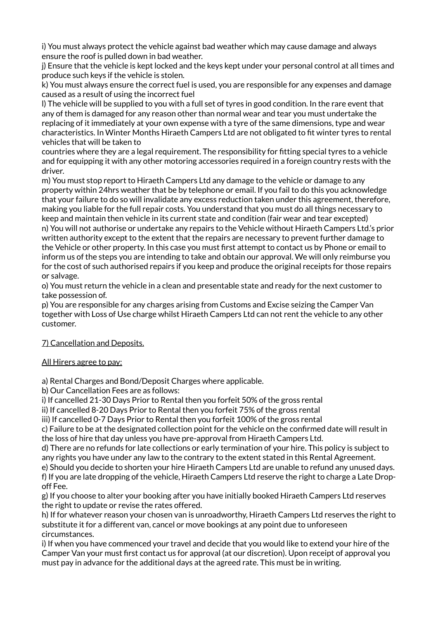i) You must always protect the vehicle against bad weather which may cause damage and always ensure the roof is pulled down in bad weather.

j) Ensure that the vehicle is kept locked and the keys kept under your personal control at all times and produce such keys if the vehicle is stolen.

k) You must always ensure the correct fuel is used, you are responsible for any expenses and damage caused as a result of using the incorrect fuel

l) The vehicle will be supplied to you with a full set of tyres in good condition. In the rare event that any of them is damaged for any reason other than normal wear and tear you must undertake the replacing of it immediately at your own expense with a tyre of the same dimensions, type and wear characteristics. In Winter Months Hiraeth Campers Ltd are not obligated to fit winter tyres to rental vehicles that will be taken to

countries where they are a legal requirement. The responsibility for fitting special tyres to a vehicle and for equipping it with any other motoring accessories required in a foreign country rests with the driver.

m) You must stop report to Hiraeth Campers Ltd any damage to the vehicle or damage to any property within 24hrs weather that be by telephone or email. If you fail to do this you acknowledge that your failure to do so will invalidate any excess reduction taken under this agreement, therefore, making you liable for the full repair costs. You understand that you must do all things necessary to keep and maintain then vehicle in its current state and condition (fair wear and tear excepted) n) You will not authorise or undertake any repairs to the Vehicle without Hiraeth Campers Ltd.'s prior written authority except to the extent that the repairs are necessary to prevent further damage to the Vehicle or other property. In this case you must first attempt to contact us by Phone or email to inform us of the steps you are intending to take and obtain our approval. We will only reimburse you for the cost of such authorised repairs if you keep and produce the original receipts for those repairs or salvage.

o) You must return the vehicle in a clean and presentable state and ready for the next customer to take possession of.

p) You are responsible for any charges arising from Customs and Excise seizing the Camper Van together with Loss of Use charge whilst Hiraeth Campers Ltd can not rent the vehicle to any other customer.

## 7) Cancellation and Deposits.

#### All Hirers agree to pay:

a) Rental Charges and Bond/Deposit Charges where applicable.

b) Our Cancellation Fees are as follows:

i) If cancelled 21-30 Days Prior to Rental then you forfeit 50% of the gross rental

ii) If cancelled 8-20 Days Prior to Rental then you forfeit 75% of the gross rental

iii) If cancelled 0-7 Days Prior to Rental then you forfeit 100% of the gross rental

c) Failure to be at the designated collection point for the vehicle on the confirmed date will result in the loss of hire that day unless you have pre-approval from Hiraeth Campers Ltd.

d) There are no refunds for late collections or early termination of your hire. This policy is subject to any rights you have under any law to the contrary to the extent stated in this Rental Agreement.

e) Should you decide to shorten your hire Hiraeth Campers Ltd are unable to refund any unused days. f) If you are late dropping of the vehicle, Hiraeth Campers Ltd reserve the right to charge a Late Dropoff Fee.

g) If you choose to alter your booking after you have initially booked Hiraeth Campers Ltd reserves the right to update or revise the rates offered.

h) If for whatever reason your chosen van is unroadworthy, Hiraeth Campers Ltd reserves the right to substitute it for a different van, cancel or move bookings at any point due to unforeseen circumstances.

i) If when you have commenced your travel and decide that you would like to extend your hire of the Camper Van your must first contact us for approval (at our discretion). Upon receipt of approval you must pay in advance for the additional days at the agreed rate. This must be in writing.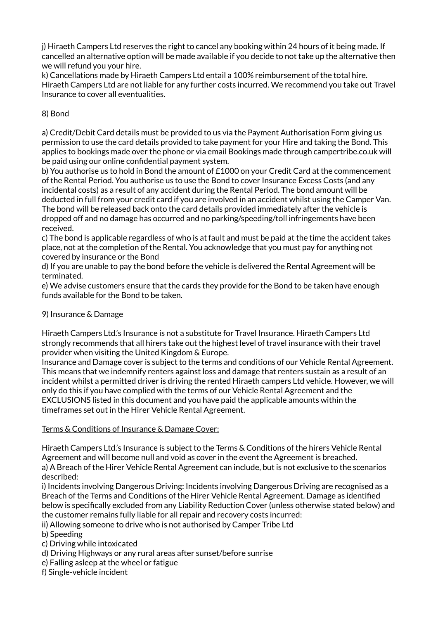j) Hiraeth Campers Ltd reserves the right to cancel any booking within 24 hours of it being made. If cancelled an alternative option will be made available if you decide to not take up the alternative then we will refund you your hire.

k) Cancellations made by Hiraeth Campers Ltd entail a 100% reimbursement of the total hire. Hiraeth Campers Ltd are not liable for any further costs incurred. We recommend you take out Travel Insurance to cover all eventualities.

## 8) Bond

a) Credit/Debit Card details must be provided to us via the Payment Authorisation Form giving us permission to use the card details provided to take payment for your Hire and taking the Bond. This applies to bookings made over the phone or via email Bookings made through campertribe.co.uk will be paid using our online confidential payment system.

b) You authorise us to hold in Bond the amount of £1000 on your Credit Card at the commencement of the Rental Period. You authorise us to use the Bond to cover Insurance Excess Costs (and any incidental costs) as a result of any accident during the Rental Period. The bond amount will be deducted in full from your credit card if you are involved in an accident whilst using the Camper Van.

The bond will be released back onto the card details provided immediately after the vehicle is dropped off and no damage has occurred and no parking/speeding/toll infringements have been received.

c) The bond is applicable regardless of who is at fault and must be paid at the time the accident takes place, not at the completion of the Rental. You acknowledge that you must pay for anything not covered by insurance or the Bond

d) If you are unable to pay the bond before the vehicle is delivered the Rental Agreement will be terminated.

e) We advise customers ensure that the cards they provide for the Bond to be taken have enough funds available for the Bond to be taken.

## 9) Insurance & Damage

Hiraeth Campers Ltd.'s Insurance is not a substitute for Travel Insurance. Hiraeth Campers Ltd strongly recommends that all hirers take out the highest level of travel insurance with their travel provider when visiting the United Kingdom & Europe.

Insurance and Damage cover is subject to the terms and conditions of our Vehicle Rental Agreement. This means that we indemnify renters against loss and damage that renters sustain as a result of an incident whilst a permitted driver is driving the rented Hiraeth campers Ltd vehicle. However, we will only do this if you have complied with the terms of our Vehicle Rental Agreement and the EXCLUSIONS listed in this document and you have paid the applicable amounts within the timeframes set out in the Hirer Vehicle Rental Agreement.

#### Terms & Conditions of Insurance & Damage Cover:

Hiraeth Campers Ltd.'s Insurance is subject to the Terms & Conditions of the hirers Vehicle Rental Agreement and will become null and void as cover in the event the Agreement is breached. a) A Breach of the Hirer Vehicle Rental Agreement can include, but is not exclusive to the scenarios described:

i) Incidents involving Dangerous Driving: Incidents involving Dangerous Driving are recognised as a Breach of the Terms and Conditions of the Hirer Vehicle Rental Agreement. Damage as identified below is specifically excluded from any Liability Reduction Cover (unless otherwise stated below) and the customer remains fully liable for all repair and recovery costs incurred:

ii) Allowing someone to drive who is not authorised by Camper Tribe Ltd

b) Speeding

c) Driving while intoxicated

- d) Driving Highways or any rural areas after sunset/before sunrise
- e) Falling asleep at the wheel or fatigue
- f) Single-vehicle incident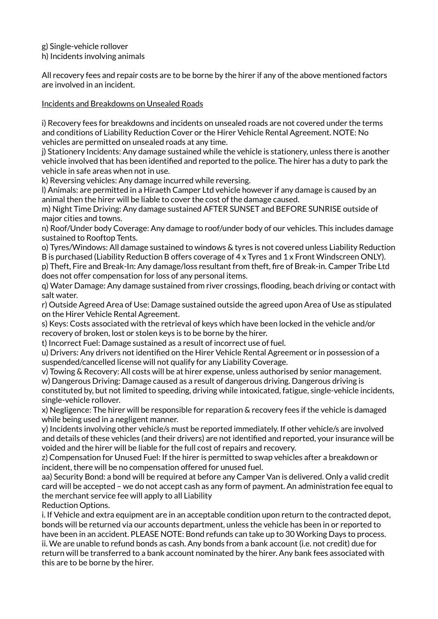g) Single-vehicle rollover

h) Incidents involving animals

All recovery fees and repair costs are to be borne by the hirer if any of the above mentioned factors are involved in an incident.

#### Incidents and Breakdowns on Unsealed Roads

i) Recovery fees for breakdowns and incidents on unsealed roads are not covered under the terms and conditions of Liability Reduction Cover or the Hirer Vehicle Rental Agreement. NOTE: No vehicles are permitted on unsealed roads at any time.

j) Stationery Incidents: Any damage sustained while the vehicle is stationery, unless there is another vehicle involved that has been identified and reported to the police. The hirer has a duty to park the vehicle in safe areas when not in use.

k) Reversing vehicles: Any damage incurred while reversing.

l) Animals: are permitted in a Hiraeth Camper Ltd vehicle however if any damage is caused by an animal then the hirer will be liable to cover the cost of the damage caused.

m) Night Time Driving: Any damage sustained AFTER SUNSET and BEFORE SUNRISE outside of major cities and towns.

n) Roof/Under body Coverage: Any damage to roof/under body of our vehicles. This includes damage sustained to Rooftop Tents.

o) Tyres/Windows: All damage sustained to windows & tyres is not covered unless Liability Reduction B is purchased (Liability Reduction B offers coverage of 4 x Tyres and 1 x Front Windscreen ONLY). p) Theft, Fire and Break-In: Any damage/loss resultant from theft, fire of Break-in. Camper Tribe Ltd

does not offer compensation for loss of any personal items.

q) Water Damage: Any damage sustained from river crossings, flooding, beach driving or contact with salt water.

r) Outside Agreed Area of Use: Damage sustained outside the agreed upon Area of Use as stipulated on the Hirer Vehicle Rental Agreement.

s) Keys: Costs associated with the retrieval of keys which have been locked in the vehicle and/or recovery of broken, lost or stolen keys is to be borne by the hirer.

t) Incorrect Fuel: Damage sustained as a result of incorrect use of fuel.

u) Drivers: Any drivers not identified on the Hirer Vehicle Rental Agreement or in possession of a suspended/cancelled license will not qualify for any Liability Coverage.

v) Towing & Recovery: All costs will be at hirer expense, unless authorised by senior management.

w) Dangerous Driving: Damage caused as a result of dangerous driving. Dangerous driving is constituted by, but not limited to speeding, driving while intoxicated, fatigue, single-vehicle incidents, single-vehicle rollover.

x) Negligence: The hirer will be responsible for reparation & recovery fees if the vehicle is damaged while being used in a negligent manner.

y) Incidents involving other vehicle/s must be reported immediately. If other vehicle/s are involved and details of these vehicles (and their drivers) are not identified and reported, your insurance will be voided and the hirer will be liable for the full cost of repairs and recovery.

z) Compensation for Unused Fuel: If the hirer is permitted to swap vehicles after a breakdown or incident, there will be no compensation offered for unused fuel.

aa) Security Bond: a bond will be required at before any Camper Van is delivered. Only a valid credit card will be accepted – we do not accept cash as any form of payment. An administration fee equal to the merchant service fee will apply to all Liability

Reduction Options.

i. If Vehicle and extra equipment are in an acceptable condition upon return to the contracted depot, bonds will be returned via our accounts department, unless the vehicle has been in or reported to have been in an accident. PLEASE NOTE: Bond refunds can take up to 30 Working Days to process. ii. We are unable to refund bonds as cash. Any bonds from a bank account (i.e. not credit) due for

return will be transferred to a bank account nominated by the hirer. Any bank fees associated with this are to be borne by the hirer.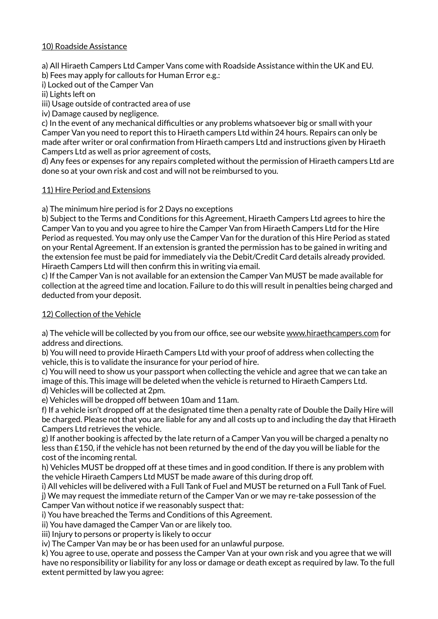## 10) Roadside Assistance

a) All Hiraeth Campers Ltd Camper Vans come with Roadside Assistance within the UK and EU.

b) Fees may apply for callouts for Human Error e.g.:

i) Locked out of the Camper Van

ii) Lights left on

iii) Usage outside of contracted area of use

iv) Damage caused by negligence.

c) In the event of any mechanical difficulties or any problems whatsoever big or small with your Camper Van you need to report this to Hiraeth campers Ltd within 24 hours. Repairs can only be made after writer or oral confirmation from Hiraeth campers Ltd and instructions given by Hiraeth Campers Ltd as well as prior agreement of costs,

d) Any fees or expenses for any repairs completed without the permission of Hiraeth campers Ltd are done so at your own risk and cost and will not be reimbursed to you.

## 11) Hire Period and Extensions

a) The minimum hire period is for 2 Days no exceptions

b) Subject to the Terms and Conditions for this Agreement, Hiraeth Campers Ltd agrees to hire the Camper Van to you and you agree to hire the Camper Van from Hiraeth Campers Ltd for the Hire Period as requested. You may only use the Camper Van for the duration of this Hire Period as stated on your Rental Agreement. If an extension is granted the permission has to be gained in writing and the extension fee must be paid for immediately via the Debit/Credit Card details already provided. Hiraeth Campers Ltd will then confirm this in writing via email.

c) If the Camper Van is not available for an extension the Camper Van MUST be made available for collection at the agreed time and location. Failure to do this will result in penalties being charged and deducted from your deposit.

## 12) Collection of the Vehicle

a) The vehicle will be collected by you from our office, see our website [www.hiraethcampers.com](http://www.hiraethcampers.com) for address and directions.

b) You will need to provide Hiraeth Campers Ltd with your proof of address when collecting the vehicle, this is to validate the insurance for your period of hire.

c) You will need to show us your passport when collecting the vehicle and agree that we can take an image of this. This image will be deleted when the vehicle is returned to Hiraeth Campers Ltd. d) Vehicles will be collected at 2pm.

e) Vehicles will be dropped off between 10am and 11am.

f) If a vehicle isn't dropped off at the designated time then a penalty rate of Double the Daily Hire will be charged. Please not that you are liable for any and all costs up to and including the day that Hiraeth Campers Ltd retrieves the vehicle.

g) If another booking is affected by the late return of a Camper Van you will be charged a penalty no less than £150, if the vehicle has not been returned by the end of the day you will be liable for the cost of the incoming rental.

h) Vehicles MUST be dropped off at these times and in good condition. If there is any problem with the vehicle Hiraeth Campers Ltd MUST be made aware of this during drop off.

i) All vehicles will be delivered with a Full Tank of Fuel and MUST be returned on a Full Tank of Fuel.

j) We may request the immediate return of the Camper Van or we may re-take possession of the Camper Van without notice if we reasonably suspect that:

i) You have breached the Terms and Conditions of this Agreement.

ii) You have damaged the Camper Van or are likely too.

iii) Injury to persons or property is likely to occur

iv) The Camper Van may be or has been used for an unlawful purpose.

k) You agree to use, operate and possess the Camper Van at your own risk and you agree that we will have no responsibility or liability for any loss or damage or death except as required by law. To the full extent permitted by law you agree: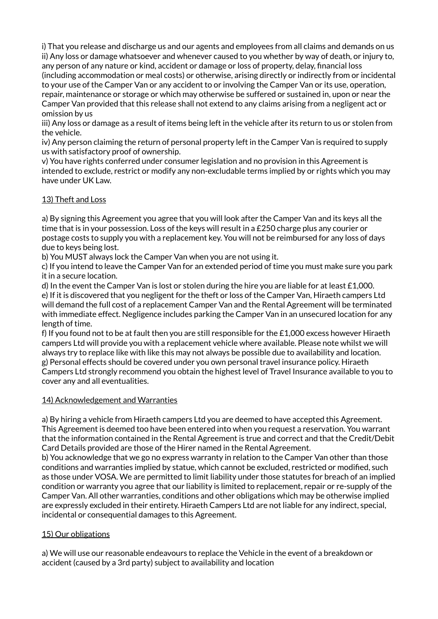i) That you release and discharge us and our agents and employees from all claims and demands on us ii) Any loss or damage whatsoever and whenever caused to you whether by way of death, or injury to, any person of any nature or kind, accident or damage or loss of property, delay, financial loss (including accommodation or meal costs) or otherwise, arising directly or indirectly from or incidental to your use of the Camper Van or any accident to or involving the Camper Van or its use, operation, repair, maintenance or storage or which may otherwise be suffered or sustained in, upon or near the Camper Van provided that this release shall not extend to any claims arising from a negligent act or omission by us

iii) Any loss or damage as a result of items being left in the vehicle after its return to us or stolen from the vehicle.

iv) Any person claiming the return of personal property left in the Camper Van is required to supply us with satisfactory proof of ownership.

v) You have rights conferred under consumer legislation and no provision in this Agreement is intended to exclude, restrict or modify any non-excludable terms implied by or rights which you may have under UK Law.

## 13) Theft and Loss

a) By signing this Agreement you agree that you will look after the Camper Van and its keys all the time that is in your possession. Loss of the keys will result in a £250 charge plus any courier or postage costs to supply you with a replacement key. You will not be reimbursed for any loss of days due to keys being lost.

b) You MUST always lock the Camper Van when you are not using it.

c) If you intend to leave the Camper Van for an extended period of time you must make sure you park it in a secure location.

d) In the event the Camper Van is lost or stolen during the hire you are liable for at least £1,000. e) If it is discovered that you negligent for the theft or loss of the Camper Van, Hiraeth campers Ltd will demand the full cost of a replacement Camper Van and the Rental Agreement will be terminated with immediate effect. Negligence includes parking the Camper Van in an unsecured location for any length of time.

f) If you found not to be at fault then you are still responsible for the £1,000 excess however Hiraeth campers Ltd will provide you with a replacement vehicle where available. Please note whilst we will always try to replace like with like this may not always be possible due to availability and location. g) Personal effects should be covered under you own personal travel insurance policy. Hiraeth Campers Ltd strongly recommend you obtain the highest level of Travel Insurance available to you to cover any and all eventualities.

#### 14) Acknowledgement and Warranties

a) By hiring a vehicle from Hiraeth campers Ltd you are deemed to have accepted this Agreement. This Agreement is deemed too have been entered into when you request a reservation. You warrant that the information contained in the Rental Agreement is true and correct and that the Credit/Debit Card Details provided are those of the Hirer named in the Rental Agreement.

b) You acknowledge that we go no express warranty in relation to the Camper Van other than those conditions and warranties implied by statue, which cannot be excluded, restricted or modified, such as those under VOSA. We are permitted to limit liability under those statutes for breach of an implied condition or warranty you agree that our liability is limited to replacement, repair or re-supply of the Camper Van. All other warranties, conditions and other obligations which may be otherwise implied are expressly excluded in their entirety. Hiraeth Campers Ltd are not liable for any indirect, special, incidental or consequential damages to this Agreement.

## 15) Our obligations

a) We will use our reasonable endeavours to replace the Vehicle in the event of a breakdown or accident (caused by a 3rd party) subject to availability and location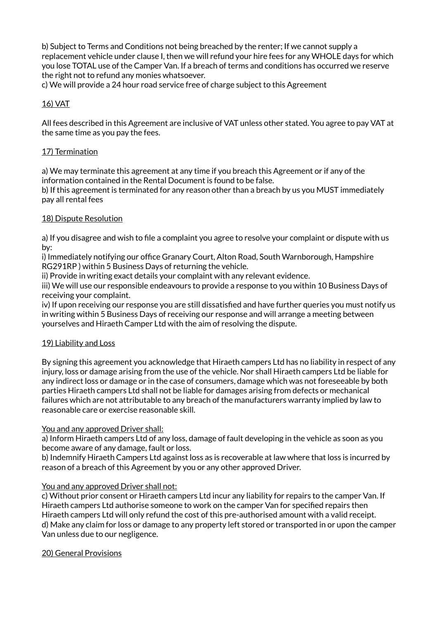b) Subject to Terms and Conditions not being breached by the renter; If we cannot supply a replacement vehicle under clause I, then we will refund your hire fees for any WHOLE days for which you lose TOTAL use of the Camper Van. If a breach of terms and conditions has occurred we reserve the right not to refund any monies whatsoever.

c) We will provide a 24 hour road service free of charge subject to this Agreement

## 16) VAT

All fees described in this Agreement are inclusive of VAT unless other stated. You agree to pay VAT at the same time as you pay the fees.

## 17) Termination

a) We may terminate this agreement at any time if you breach this Agreement or if any of the information contained in the Rental Document is found to be false.

b) If this agreement is terminated for any reason other than a breach by us you MUST immediately pay all rental fees

#### 18) Dispute Resolution

a) If you disagree and wish to file a complaint you agree to resolve your complaint or dispute with us by:

i) Immediately notifying our office Granary Court, Alton Road, South Warnborough, Hampshire RG291RP ) within 5 Business Days of returning the vehicle.

ii) Provide in writing exact details your complaint with any relevant evidence.

iii) We will use our responsible endeavours to provide a response to you within 10 Business Days of receiving your complaint.

iv) If upon receiving our response you are still dissatisfied and have further queries you must notify us in writing within 5 Business Days of receiving our response and will arrange a meeting between yourselves and Hiraeth Camper Ltd with the aim of resolving the dispute.

## 19) Liability and Loss

By signing this agreement you acknowledge that Hiraeth campers Ltd has no liability in respect of any injury, loss or damage arising from the use of the vehicle. Nor shall Hiraeth campers Ltd be liable for any indirect loss or damage or in the case of consumers, damage which was not foreseeable by both parties Hiraeth campers Ltd shall not be liable for damages arising from defects or mechanical failures which are not attributable to any breach of the manufacturers warranty implied by law to reasonable care or exercise reasonable skill.

#### You and any approved Driver shall:

a) Inform Hiraeth campers Ltd of any loss, damage of fault developing in the vehicle as soon as you become aware of any damage, fault or loss.

b) Indemnify Hiraeth Campers Ltd against loss as is recoverable at law where that loss is incurred by reason of a breach of this Agreement by you or any other approved Driver.

#### You and any approved Driver shall not:

c) Without prior consent or Hiraeth campers Ltd incur any liability for repairs to the camper Van. If Hiraeth campers Ltd authorise someone to work on the camper Van for specified repairs then Hiraeth campers Ltd will only refund the cost of this pre-authorised amount with a valid receipt. d) Make any claim for loss or damage to any property left stored or transported in or upon the camper Van unless due to our negligence.

## 20) General Provisions